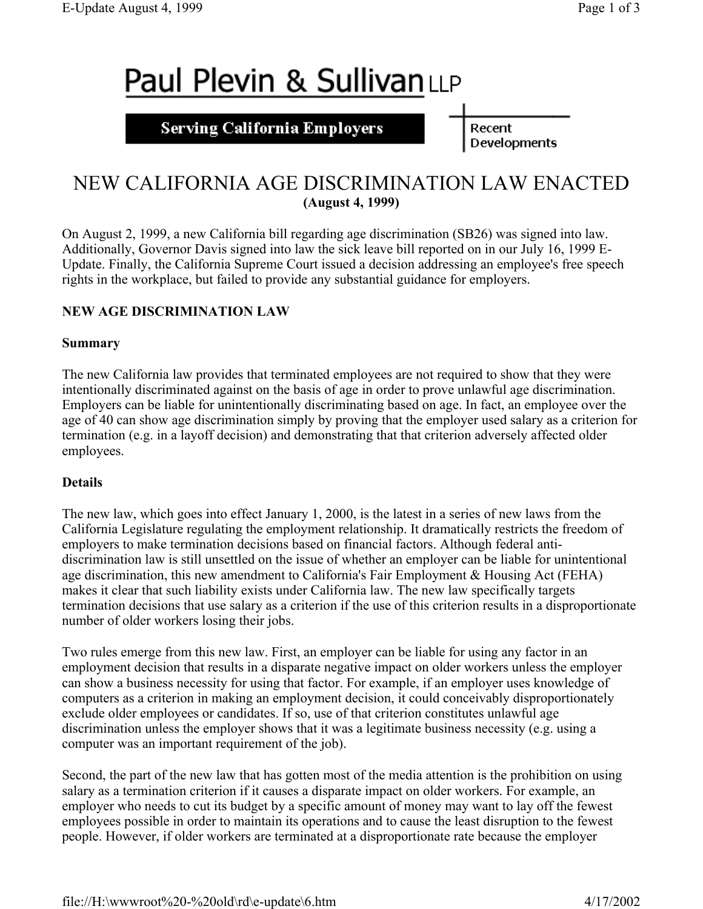# Paul Plevin & SullivanLLP

### **Serving California Employers**

Recent Developments

## NEW CALIFORNIA AGE DISCRIMINATION LAW ENACTED **(August 4, 1999)**

On August 2, 1999, a new California bill regarding age discrimination (SB26) was signed into law. Additionally, Governor Davis signed into law the sick leave bill reported on in our July 16, 1999 E-Update. Finally, the California Supreme Court issued a decision addressing an employee's free speech rights in the workplace, but failed to provide any substantial guidance for employers.

#### **NEW AGE DISCRIMINATION LAW**

#### **Summary**

The new California law provides that terminated employees are not required to show that they were intentionally discriminated against on the basis of age in order to prove unlawful age discrimination. Employers can be liable for unintentionally discriminating based on age. In fact, an employee over the age of 40 can show age discrimination simply by proving that the employer used salary as a criterion for termination (e.g. in a layoff decision) and demonstrating that that criterion adversely affected older employees.

#### **Details**

The new law, which goes into effect January 1, 2000, is the latest in a series of new laws from the California Legislature regulating the employment relationship. It dramatically restricts the freedom of employers to make termination decisions based on financial factors. Although federal antidiscrimination law is still unsettled on the issue of whether an employer can be liable for unintentional age discrimination, this new amendment to California's Fair Employment & Housing Act (FEHA) makes it clear that such liability exists under California law. The new law specifically targets termination decisions that use salary as a criterion if the use of this criterion results in a disproportionate number of older workers losing their jobs.

Two rules emerge from this new law. First, an employer can be liable for using any factor in an employment decision that results in a disparate negative impact on older workers unless the employer can show a business necessity for using that factor. For example, if an employer uses knowledge of computers as a criterion in making an employment decision, it could conceivably disproportionately exclude older employees or candidates. If so, use of that criterion constitutes unlawful age discrimination unless the employer shows that it was a legitimate business necessity (e.g. using a computer was an important requirement of the job).

Second, the part of the new law that has gotten most of the media attention is the prohibition on using salary as a termination criterion if it causes a disparate impact on older workers. For example, an employer who needs to cut its budget by a specific amount of money may want to lay off the fewest employees possible in order to maintain its operations and to cause the least disruption to the fewest people. However, if older workers are terminated at a disproportionate rate because the employer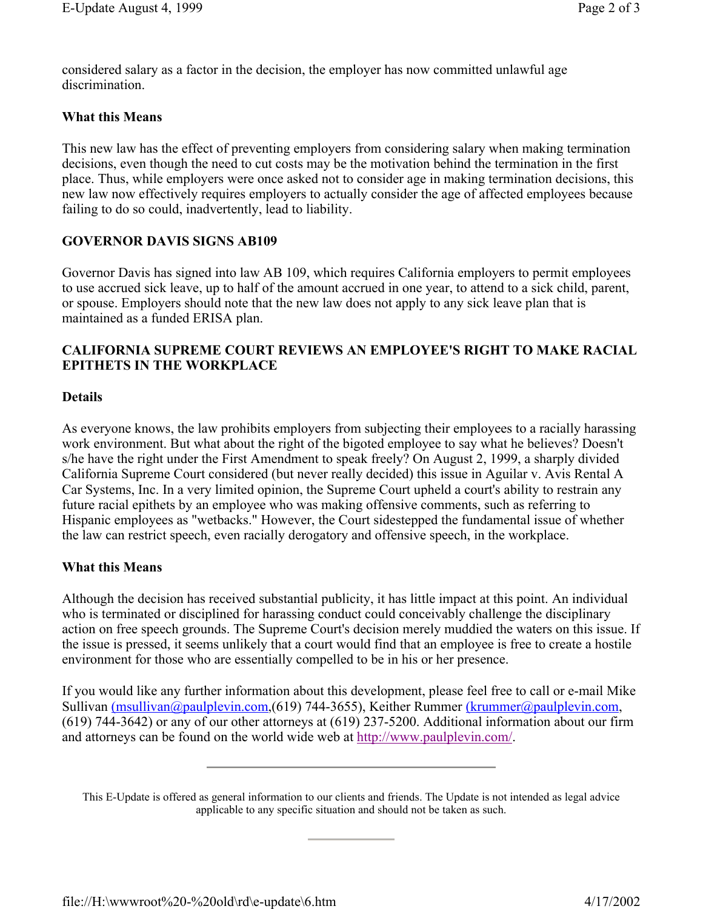considered salary as a factor in the decision, the employer has now committed unlawful age discrimination.

#### **What this Means**

This new law has the effect of preventing employers from considering salary when making termination decisions, even though the need to cut costs may be the motivation behind the termination in the first place. Thus, while employers were once asked not to consider age in making termination decisions, this new law now effectively requires employers to actually consider the age of affected employees because failing to do so could, inadvertently, lead to liability.

#### **GOVERNOR DAVIS SIGNS AB109**

Governor Davis has signed into law AB 109, which requires California employers to permit employees to use accrued sick leave, up to half of the amount accrued in one year, to attend to a sick child, parent, or spouse. Employers should note that the new law does not apply to any sick leave plan that is maintained as a funded ERISA plan.

#### **CALIFORNIA SUPREME COURT REVIEWS AN EMPLOYEE'S RIGHT TO MAKE RACIAL EPITHETS IN THE WORKPLACE**

#### **Details**

As everyone knows, the law prohibits employers from subjecting their employees to a racially harassing work environment. But what about the right of the bigoted employee to say what he believes? Doesn't s/he have the right under the First Amendment to speak freely? On August 2, 1999, a sharply divided California Supreme Court considered (but never really decided) this issue in Aguilar v. Avis Rental A Car Systems, Inc. In a very limited opinion, the Supreme Court upheld a court's ability to restrain any future racial epithets by an employee who was making offensive comments, such as referring to Hispanic employees as "wetbacks." However, the Court sidestepped the fundamental issue of whether the law can restrict speech, even racially derogatory and offensive speech, in the workplace.

#### **What this Means**

Although the decision has received substantial publicity, it has little impact at this point. An individual who is terminated or disciplined for harassing conduct could conceivably challenge the disciplinary action on free speech grounds. The Supreme Court's decision merely muddied the waters on this issue. If the issue is pressed, it seems unlikely that a court would find that an employee is free to create a hostile environment for those who are essentially compelled to be in his or her presence.

If you would like any further information about this development, please feel free to call or e-mail Mike Sullivan (msullivan@paulplevin.com,(619) 744-3655), Keither Rummer (krummer@paulplevin.com, (619) 744-3642) or any of our other attorneys at (619) 237-5200. Additional information about our firm and attorneys can be found on the world wide web at http://www.paulplevin.com/.

This E-Update is offered as general information to our clients and friends. The Update is not intended as legal advice applicable to any specific situation and should not be taken as such.